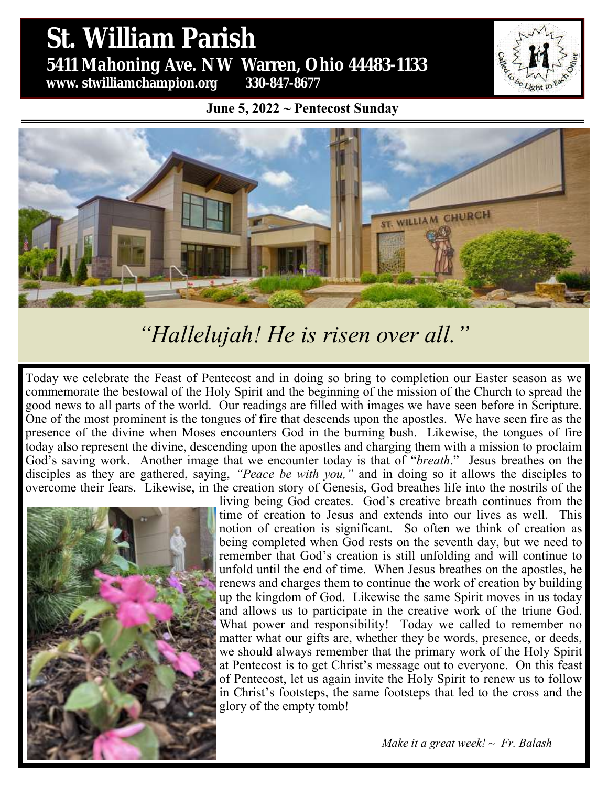# St. William Parish **St. William Parish** 5431 Mahoning Ave. NW Warren, Ohio 44483 **5411 Mahoning Ave. NW Warren, Ohio 44483-1133 www. stwilliamchampion.org 330-847-8677**

**June 5, 2022 ~ Pentecost Sunday**



# *"Hallelujah! He is risen over all."*

Today we celebrate the Feast of Pentecost and in doing so bring to completion our Easter season as we commemorate the bestowal of the Holy Spirit and the beginning of the mission of the Church to spread the good news to all parts of the world. Our readings are filled with images we have seen before in Scripture. One of the most prominent is the tongues of fire that descends upon the apostles. We have seen fire as the presence of the divine when Moses encounters God in the burning bush. Likewise, the tongues of fire today also represent the divine, descending upon the apostles and charging them with a mission to proclaim God's saving work. Another image that we encounter today is that of "*breath*." Jesus breathes on the disciples as they are gathered, saying, *"Peace be with you,"* and in doing so it allows the disciples to overcome their fears. Likewise, in the creation story of Genesis, God breathes life into the nostrils of the



living being God creates. God's creative breath continues from the time of creation to Jesus and extends into our lives as well. This notion of creation is significant. So often we think of creation as being completed when God rests on the seventh day, but we need to remember that God's creation is still unfolding and will continue to unfold until the end of time. When Jesus breathes on the apostles, he renews and charges them to continue the work of creation by building up the kingdom of God. Likewise the same Spirit moves in us today and allows us to participate in the creative work of the triune God. What power and responsibility! Today we called to remember no matter what our gifts are, whether they be words, presence, or deeds, we should always remember that the primary work of the Holy Spirit at Pentecost is to get Christ's message out to everyone. On this feast of Pentecost, let us again invite the Holy Spirit to renew us to follow in Christ's footsteps, the same footsteps that led to the cross and the glory of the empty tomb!

*Make it a great week! ~ Fr. Balash*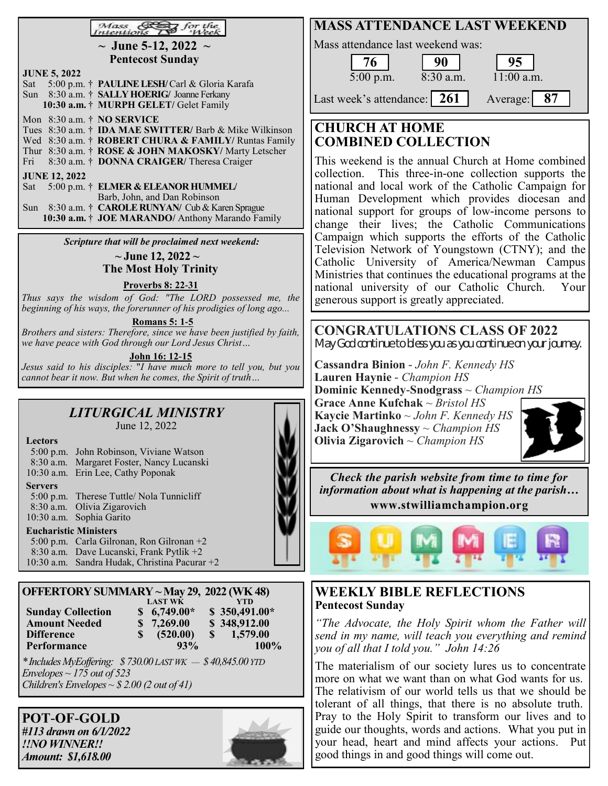| Mass & for the<br>Intentions Ass Week                                                                     | <b>MASS ATTENDANCE LAST WEEKEND</b>                                                                              |
|-----------------------------------------------------------------------------------------------------------|------------------------------------------------------------------------------------------------------------------|
| $\sim$ June 5-12, 2022 $\sim$                                                                             | Mass attendance last weekend was:                                                                                |
| <b>Pentecost Sunday</b>                                                                                   | 76<br>90<br>95                                                                                                   |
| <b>JUNE 5, 2022</b>                                                                                       | 8:30 a.m.<br>11:00 a.m.<br>$5:00$ p.m.                                                                           |
| 5:00 p.m. † PAULINE LESH/Carl & Gloria Karafa<br>Sat<br>Sun 8:30 a.m. † SALLY HOERIG/ Joanne Ferkany      | 87                                                                                                               |
| 10:30 a.m. † MURPH GELET/ Gelet Family                                                                    | Last week's attendance: 261<br>Average:                                                                          |
| Mon 8:30 a.m. † NO SERVICE<br>Tues 8:30 a.m. † <b>IDA MAE SWITTER</b> / Barb & Mike Wilkinson             | <b>CHURCH AT HOME</b>                                                                                            |
| Wed 8:30 a.m. † ROBERT CHURA & FAMILY/ Runtas Family                                                      | <b>COMBINED COLLECTION</b>                                                                                       |
| Thur 8:30 a.m. † ROSE & JOHN MAKOSKY/ Marty Letscher<br>8:30 a.m. † DONNA CRAIGER/ Theresa Craiger<br>Fri | This weekend is the annual Church at Home combined                                                               |
| <b>JUNE 12, 2022</b>                                                                                      | collection. This three-in-one collection supports the                                                            |
| Sat 5:00 p.m. † ELMER & ELEANOR HUMMEL/                                                                   | national and local work of the Catholic Campaign for                                                             |
| Barb, John, and Dan Robinson<br>Sun 8:30 a.m. † CAROLE RUNYAN/ Cub & Karen Sprague                        | Human Development which provides diocesan and                                                                    |
| 10:30 a.m. † JOE MARANDO/ Anthony Marando Family                                                          | national support for groups of low-income persons to<br>change their lives; the Catholic Communications          |
|                                                                                                           | Campaign which supports the efforts of the Catholic                                                              |
| Scripture that will be proclaimed next weekend:<br>$\sim$ June 12, 2022 $\sim$                            | Television Network of Youngstown (CTNY); and the                                                                 |
| <b>The Most Holy Trinity</b>                                                                              | Catholic University of America/Newman Campus                                                                     |
| <b>Proverbs 8: 22-31</b>                                                                                  | Ministries that continues the educational programs at the<br>national university of our Catholic Church.<br>Your |
| Thus says the wisdom of God: "The LORD possessed me, the                                                  | generous support is greatly appreciated.                                                                         |
| beginning of his ways, the forerunner of his prodigies of long ago                                        |                                                                                                                  |
| <b>Romans 5: 1-5</b><br>Brothers and sisters: Therefore, since we have been justified by faith,           | <b>CONGRATULATIONS CLASS OF 2022</b>                                                                             |
| we have peace with God through our Lord Jesus Christ                                                      | May God continue to bless you as you continue on your journey.                                                   |
| John 16: 12-15<br>Jesus said to his disciples: "I have much more to tell you, but you                     | Cassandra Binion - John F. Kennedy HS                                                                            |
| cannot bear it now. But when he comes, the Spirit of truth                                                | Lauren Haynie - Champion HS                                                                                      |
|                                                                                                           | Dominic Kennedy-Snodgrass $\sim$ Champion HS<br>Grace Anne Kufchak ~ Bristol $HS$                                |
| <b>LITURGICAL MINISTRY</b>                                                                                | Kaycie Martinko ~ John F. Kennedy $HS$                                                                           |
| June 12, 2022                                                                                             | <b>Jack O'Shaughnessy</b> $\sim$ <i>Champion HS</i>                                                              |
| <b>Lectors</b>                                                                                            | Olivia Zigarovich $\sim$ Champion HS                                                                             |
| 5:00 p.m. John Robinson, Viviane Watson<br>8:30 a.m. Margaret Foster, Nancy Lucanski                      |                                                                                                                  |
| 10:30 a.m. Erin Lee, Cathy Poponak                                                                        | Check the parish website from time to time for                                                                   |
| <b>Servers</b>                                                                                            | information about what is happening at the parish                                                                |
| 5:00 p.m. Therese Tuttle/ Nola Tunnicliff<br>8:30 a.m. Olivia Zigarovich                                  | www.stwilliamchampion.org                                                                                        |
| 10:30 a.m. Sophia Garito                                                                                  |                                                                                                                  |
| <b>Eucharistic Ministers</b><br>5:00 p.m. Carla Gilronan, Ron Gilronan +2                                 |                                                                                                                  |
| 8:30 a.m. Dave Lucanski, Frank Pytlik +2                                                                  |                                                                                                                  |
| 10:30 a.m. Sandra Hudak, Christina Pacurar +2                                                             |                                                                                                                  |
| OFFERTORY SUMMARY ~ May 29, 2022 (WK 48)                                                                  | <b>WEEKLY BIBLE REFLECTIONS</b>                                                                                  |
| <b>LAST WK</b><br><b>YTD</b>                                                                              | <b>Pentecost Sunday</b>                                                                                          |
| <b>Sunday Collection</b><br>$$6,749.00*$<br>$$350,491.00*$                                                |                                                                                                                  |

**POT**-**OF**-**GOLD** *#113 drawn on 6/1/2022 !!NO WINNER!! Amount: \$1,618.00*

*Envelopes ~ 175 out of 523*

*Children's Envelopes ~ \$ 2.00 (2 out of 41)*

**Performance** 

**Amount Needed \$ 7,269.00 \$ 348,912.00 Difference 8** (520.00) **\$** 1,579.00<br>**Performance** 93% 100%

*\* Includes MyEoffering: \$ 730.00 LAST WK — \$ 40,845.00 YTD*

*"The Advocate, the Holy Spirit whom the Father will send in my name, will teach you everything and remind you of all that I told you." John 14:26*

The materialism of our society lures us to concentrate more on what we want than on what God wants for us. The relativism of our world tells us that we should be tolerant of all things, that there is no absolute truth. Pray to the Holy Spirit to transform our lives and to guide our thoughts, words and actions. What you put in your head, heart and mind affects your actions. Put good things in and good things will come out.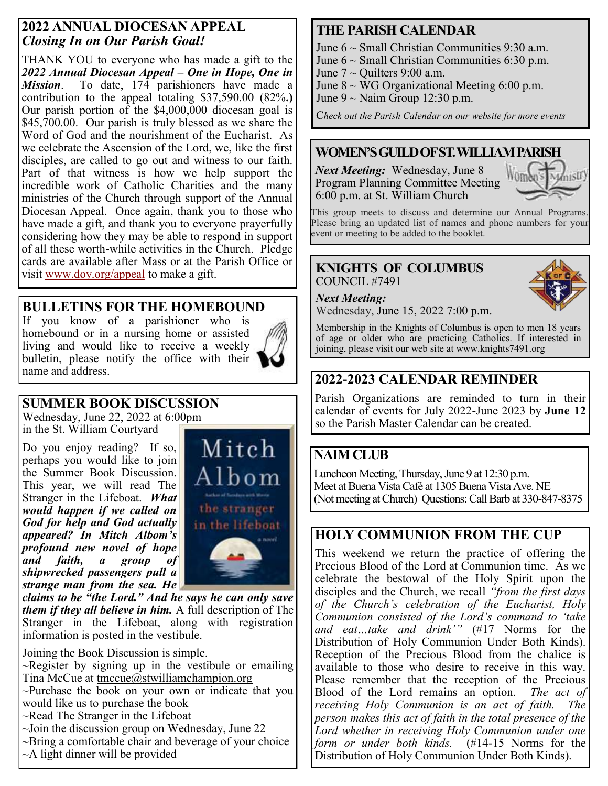#### **2022 ANNUAL DIOCESAN APPEAL** *Closing In on Our Parish Goal!*

THANK YOU to everyone who has made a gift to the *2022 Annual Diocesan Appeal – One in Hope, One in Mission*. To date, 174 parishioners have made a contribution to the appeal totaling \$37,590.00 (82%**.)** Our parish portion of the \$4,000,000 diocesan goal is \$45,700.00. Our parish is truly blessed as we share the Word of God and the nourishment of the Eucharist. As we celebrate the Ascension of the Lord, we, like the first disciples, are called to go out and witness to our faith. Part of that witness is how we help support the incredible work of Catholic Charities and the many ministries of the Church through support of the Annual Diocesan Appeal. Once again, thank you to those who have made a gift, and thank you to everyone prayerfully considering how they may be able to respond in support of all these worth-while activities in the Church. Pledge cards are available after Mass or at the Parish Office or visit [www.doy.org/appeal](about:blank) to make a gift. **KNIGHTS OF COLUMBUS**

#### **BULLETINS FOR THE HOMEBOUND**

If you know of a parishioner who is homebound or in a nursing home or assisted living and would like to receive a weekly bulletin, please notify the office with their name and address.



# **SUMMER BOOK DISCUSSION**

Wednesday, June 22, 2022 at 6:00pm in the St. William Courtyard

Do you enjoy reading? If so, perhaps you would like to join the Summer Book Discussion. This year, we will read The Stranger in the Lifeboat. *What would happen if we called on God for help and God actually appeared? In Mitch Albom's profound new novel of hope and faith, a group of shipwrecked passengers pull a strange man from the sea. He* 



*claims to be "the Lord." And he says he can only save them if they all believe in him.* A full description of The Stranger in the Lifeboat, along with registration information is posted in the vestibule.

Joining the Book Discussion is simple.  $\sim$ Register by signing up in the vestibule or emailing Tina McCue at [tmccue@stwilliamchampion.org](mailto:tmccue@stwilliamchampion.org) ~Purchase the book on your own or indicate that you would like us to purchase the book ~Read The Stranger in the Lifeboat ~Join the discussion group on Wednesday, June 22 ~Bring a comfortable chair and beverage of your choice  $~\sim$ A light dinner will be provided

## **THE PARISH CALENDAR**

June  $6 \sim$  Small Christian Communities 9:30 a.m.

- June  $6 \sim$  Small Christian Communities 6:30 p.m.
- June  $7 \sim$  Quilters 9:00 a.m.

June  $8 \sim WG$  Organizational Meeting 6:00 p.m.

June  $9 \sim$  Naim Group 12:30 p.m.

C*heck out the Parish Calendar on our website for more events*

#### **WOMEN'S GUILD OF ST. WILLIAM PARISH**

*Next Meeting:* Wednesday, June 8 Program Planning Committee Meeting 6:00 p.m. at St. William Church



This group meets to discuss and determine our Annual Programs. Please bring an updated list of names and phone numbers for your event or meeting to be added to the booklet.

# COUNCIL #7491

#### *Next Meeting:*

Wednesday, June 15, 2022 7:00 p.m.

Membership in the Knights of Columbus is open to men 18 years of age or older who are practicing Catholics. If interested in joining, please visit our web site at www.knights7491.org

## **2022-2023 CALENDAR REMINDER**

Parish Organizations are reminded to turn in their calendar of events for July 2022-June 2023 by **June 12**  so the Parish Master Calendar can be created.

## **NAIM CLUB**

Luncheon Meeting, Thursday, June 9 at 12:30 p.m. Meet at Buena Vista Café at 1305 Buena Vista Ave. NE (Not meeting at Church) Questions: Call Barb at 330-847-8375

#### **HOLY COMMUNION FROM THE CUP**

This weekend we return the practice of offering the Precious Blood of the Lord at Communion time. As we celebrate the bestowal of the Holy Spirit upon the disciples and the Church, we recall *"from the first days of the Church's celebration of the Eucharist, Holy Communion consisted of the Lord's command to 'take and eat…take and drink'"* (#17 Norms for the Distribution of Holy Communion Under Both Kinds). Reception of the Precious Blood from the chalice is available to those who desire to receive in this way. Please remember that the reception of the Precious Blood of the Lord remains an option. *The act of receiving Holy Communion is an act of faith. The person makes this act of faith in the total presence of the Lord whether in receiving Holy Communion under one form or under both kinds.* (#14-15 Norms for the Distribution of Holy Communion Under Both Kinds).